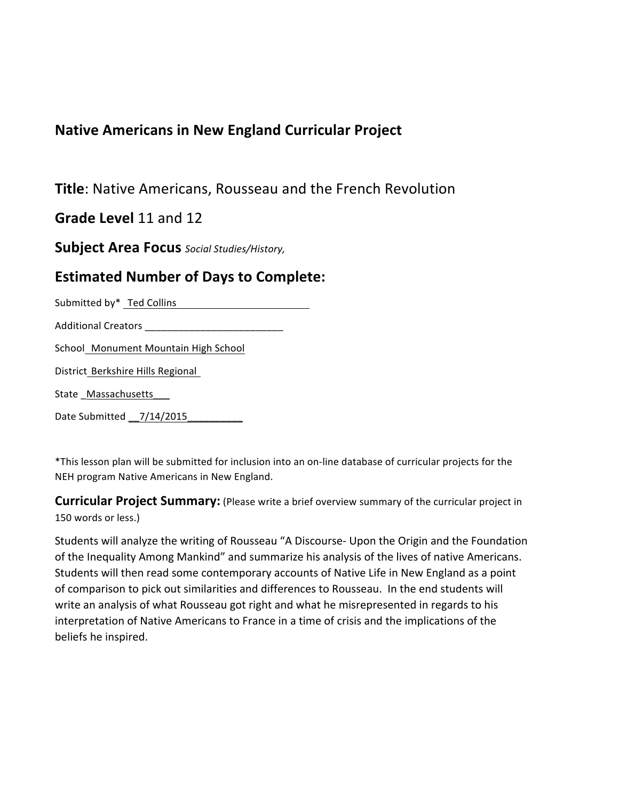## **Native Americans in New England Curricular Project**

**Title**: Native Americans, Rousseau and the French Revolution

**Grade Level 11 and 12** 

**Subject'Area'Focus** *Social'Studies/History,'*

## **Estimated Number of Days to Complete:**

Submitted by\* Ted Collins The Collins Collection Collection Collection Collection Collection Collection Collection Collection Collection Collection Collection Collection Collection Collection Collection Collection Collecti

Additional"Creators"\_\_\_\_\_\_\_\_\_\_\_\_\_\_\_\_\_\_\_\_\_\_\_\_\_

School Monument Mountain High School

District Berkshire Hills Regional

State\_Massachusetts\_\_\_

Date"Submitted"\_\_7/14/2015\_\_\_\_\_\_\_\_\_\_

\*This lesson plan will be submitted for inclusion into an on-line database of curricular projects for the NEH program Native Americans in New England.

**Curricular Project Summary:** (Please write a brief overview summary of the curricular project in 150 words or less.)

Students will analyze the writing of Rousseau "A Discourse- Upon the Origin and the Foundation of the Inequality Among Mankind" and summarize his analysis of the lives of native Americans. Students will then read some contemporary accounts of Native Life in New England as a point of comparison to pick out similarities and differences to Rousseau. In the end students will write an analysis of what Rousseau got right and what he misrepresented in regards to his interpretation of Native Americans to France in a time of crisis and the implications of the beliefs he inspired.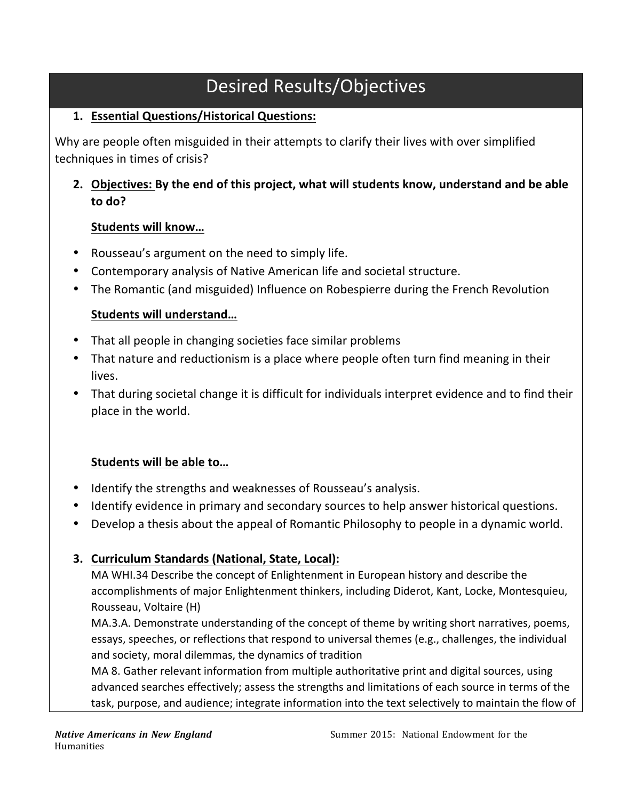## Desired Results/Objectives

#### **1. Essential'Questions/Historical'Questions:'**

Why are people often misguided in their attempts to clarify their lives with over simplified techniques in times of crisis?

2. Objectives: By the end of this project, what will students know, understand and be able **to'do?'**

#### Students will know...

- Rousseau's argument on the need to simply life.
- Contemporary analysis of Native American life and societal structure.
- The Romantic (and misguided) Influence on Robespierre during the French Revolution

#### **Students'will'understand…**

- That all people in changing societies face similar problems
- That nature and reductionism is a place where people often turn find meaning in their lives.
- That during societal change it is difficult for individuals interpret evidence and to find their place in the world.

#### Students will be able to...

- Identify the strengths and weaknesses of Rousseau's analysis.
- Identify evidence in primary and secondary sources to help answer historical questions.
- Develop a thesis about the appeal of Romantic Philosophy to people in a dynamic world.

#### **3. Curriculum Standards (National, State, Local):**

MA WHI.34 Describe the concept of Enlightenment in European history and describe the accomplishments of major Enlightenment thinkers, including Diderot, Kant, Locke, Montesquieu, Rousseau, Voltaire (H)

MA.3.A. Demonstrate understanding of the concept of theme by writing short narratives, poems, essays, speeches, or reflections that respond to universal themes (e.g., challenges, the individual and society, moral dilemmas, the dynamics of tradition

MA 8. Gather relevant information from multiple authoritative print and digital sources, using advanced searches effectively; assess the strengths and limitations of each source in terms of the task, purpose, and audience; integrate information into the text selectively to maintain the flow of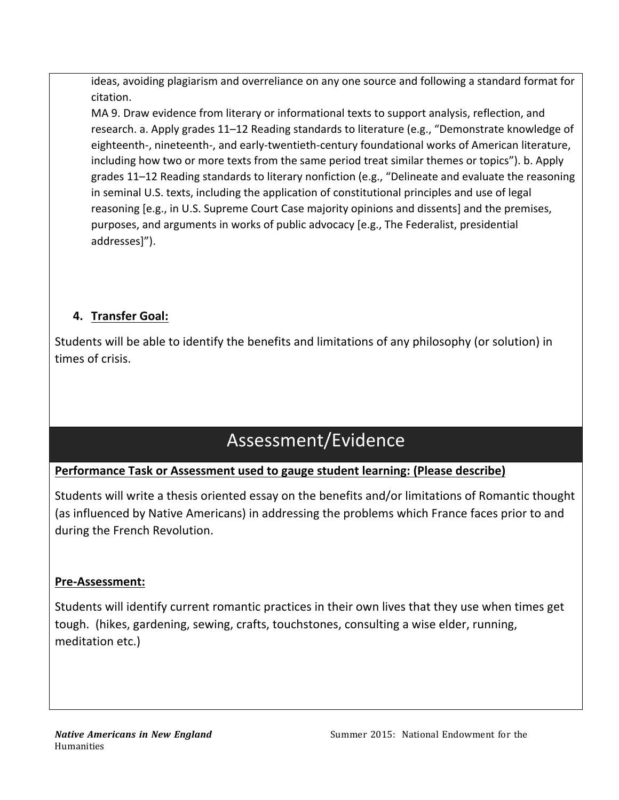ideas, avoiding plagiarism and overreliance on any one source and following a standard format for citation.

MA 9. Draw evidence from literary or informational texts to support analysis, reflection, and research. a. Apply grades 11–12 Reading standards to literature (e.g., "Demonstrate knowledge of eighteenth-, nineteenth-, and early-twentieth-century foundational works of American literature, including how two or more texts from the same period treat similar themes or topics"). b. Apply grades 11–12 Reading standards to literary nonfiction (e.g., "Delineate and evaluate the reasoning in seminal U.S. texts, including the application of constitutional principles and use of legal reasoning [e.g., in U.S. Supreme Court Case majority opinions and dissents] and the premises, purposes, and arguments in works of public advocacy [e.g., The Federalist, presidential addresses]").

## **4. Transfer'Goal:'**

Students will be able to identify the benefits and limitations of any philosophy (or solution) in times of crisis.

## Assessment/Evidence

#### Performance Task or Assessment used to gauge student learning: (Please describe)

Students will write a thesis oriented essay on the benefits and/or limitations of Romantic thought (as influenced by Native Americans) in addressing the problems which France faces prior to and during the French Revolution.

#### Pre-Assessment:

Students will identify current romantic practices in their own lives that they use when times get tough. (hikes, gardening, sewing, crafts, touchstones, consulting a wise elder, running, meditation etc.)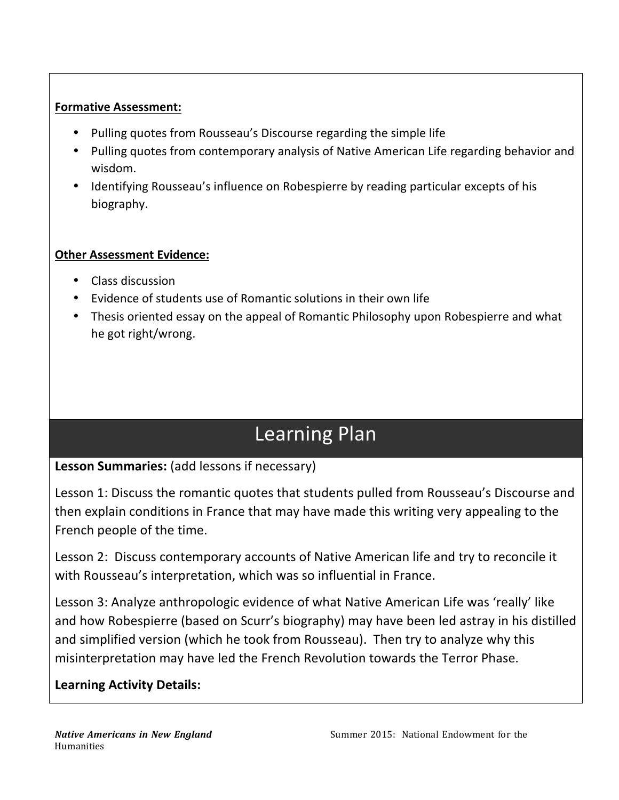#### **Formative Assessment:**

- Pulling quotes from Rousseau's Discourse regarding the simple life
- Pulling quotes from contemporary analysis of Native American Life regarding behavior and wisdom.
- Identifying Rousseau's influence on Robespierre by reading particular excepts of his biography.

#### **Other Assessment Evidence:**

- Class discussion
- Evidence of students use of Romantic solutions in their own life
- Thesis oriented essay on the appeal of Romantic Philosophy upon Robespierre and what he got right/wrong.

# Learning Plan

## Lesson Summaries: (add lessons if necessary)

Lesson 1: Discuss the romantic quotes that students pulled from Rousseau's Discourse and then explain conditions in France that may have made this writing very appealing to the French people of the time.

Lesson 2: Discuss contemporary accounts of Native American life and try to reconcile it with Rousseau's interpretation, which was so influential in France.

Lesson 3: Analyze anthropologic evidence of what Native American Life was 'really' like and how Robespierre (based on Scurr's biography) may have been led astray in his distilled and simplified version (which he took from Rousseau). Then try to analyze why this misinterpretation may have led the French Revolution towards the Terror Phase.

## **Learning Activity Details:**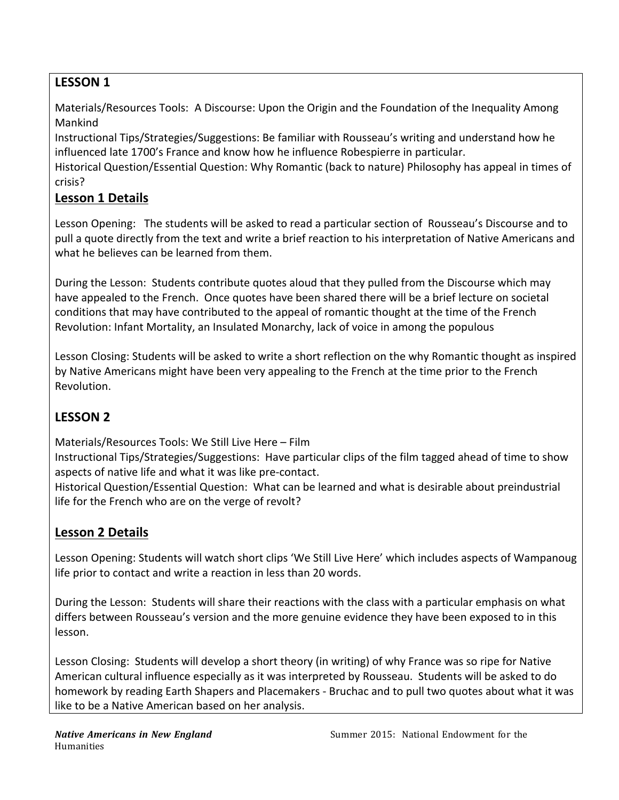## LESSON 1

Materials/Resources Tools: A Discourse: Upon the Origin and the Foundation of the Inequality Among Mankind

Instructional Tips/Strategies/Suggestions: Be familiar with Rousseau's writing and understand how he influenced late 1700's France and know how he influence Robespierre in particular.

Historical Question/Essential Question: Why Romantic (back to nature) Philosophy has appeal in times of crisis?

#### Lesson 1 Details

Lesson Opening: The students will be asked to read a particular section of Rousseau's Discourse and to pull a quote directly from the text and write a brief reaction to his interpretation of Native Americans and what he believes can be learned from them.

During the Lesson: Students contribute quotes aloud that they pulled from the Discourse which may have appealed to the French." Once quotes have been shared there will be a brief lecture on societal conditions that may have contributed to the appeal of romantic thought at the time of the French Revolution: Infant Mortality, an Insulated Monarchy, lack of voice in among the populous

Lesson Closing: Students will be asked to write a short reflection on the why Romantic thought as inspired by Native Americans might have been very appealing to the French at the time prior to the French Revolution.

## **LESSON'2'**

Materials/Resources Tools: We Still Live Here – Film

Instructional Tips/Strategies/Suggestions: Have particular clips of the film tagged ahead of time to show aspects of native life and what it was like pre-contact.

Historical Question/Essential Question: What can be learned and what is desirable about preindustrial life for the French who are on the verge of revolt?

## **Lesson 2 Details**

Lesson Opening: Students will watch short clips 'We Still Live Here' which includes aspects of Wampanoug" life prior to contact and write a reaction in less than 20 words.

During the Lesson: Students will share their reactions with the class with a particular emphasis on what differs between Rousseau's version and the more genuine evidence they have been exposed to in this lesson.

Lesson Closing: Students will develop a short theory (in writing) of why France was so ripe for Native American cultural influence especially as it was interpreted by Rousseau. Students will be asked to do homework by reading Earth Shapers and Placemakers - Bruchac and to pull two quotes about what it was like to be a Native American based on her analysis.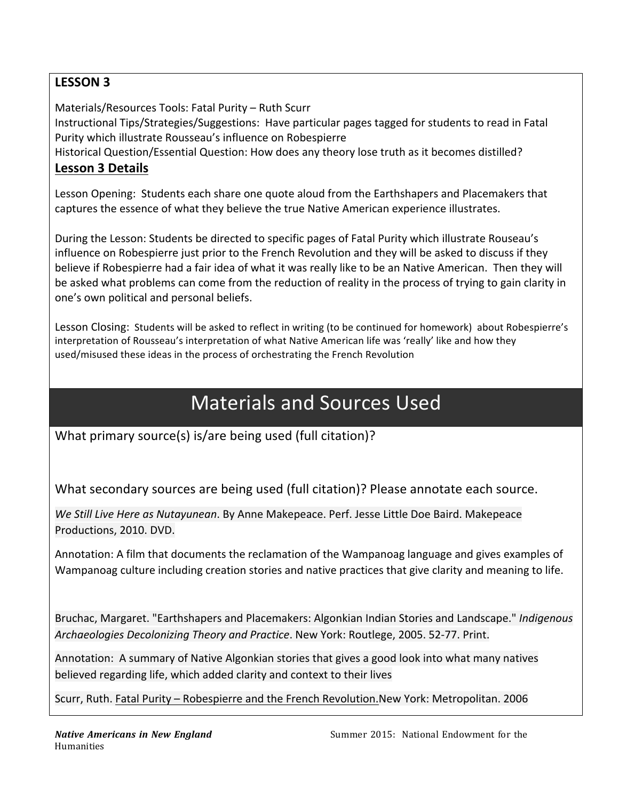### **LESSON'3'**

Materials/Resources Tools: Fatal Purity – Ruth Scurr

Instructional Tips/Strategies/Suggestions: Have particular pages tagged for students to read in Fatal Purity which illustrate Rousseau's influence on Robespierre

Historical Question/Essential Question: How does any theory lose truth as it becomes distilled?

#### **Lesson 3 Details**

Lesson Opening: Students each share one quote aloud from the Earthshapers and Placemakers that captures the essence of what they believe the true Native American experience illustrates.

During the Lesson: Students be directed to specific pages of Fatal Purity which illustrate Rouseau's influence on Robespierre just prior to the French Revolution and they will be asked to discuss if they believe if Robespierre had a fair idea of what it was really like to be an Native American. Then they will be asked what problems can come from the reduction of reality in the process of trying to gain clarity in one's own political and personal beliefs.

Lesson Closing: Students will be asked to reflect in writing (to be continued for homework) about Robespierre's interpretation of Rousseau's interpretation of what Native American life was 'really' like and how they used/misused these ideas in the process of orchestrating the French Revolution

## Materials and Sources Used

What primary source(s) is/are being used (full citation)?

What secondary sources are being used (full citation)? Please annotate each source.

We Still Live Here as Nutayunean. By Anne Makepeace. Perf. Jesse Little Doe Baird. Makepeace Productions, 2010. DVD.

Annotation: A film that documents the reclamation of the Wampanoag language and gives examples of Wampanoag culture including creation stories and native practices that give clarity and meaning to life.

Bruchac, Margaret. "Earthshapers and Placemakers: Algonkian Indian Stories and Landscape." *Indigenous* Archaeologies Decolonizing Theory and Practice. New York: Routlege, 2005. 52-77. Print.

Annotation: A summary of Native Algonkian stories that gives a good look into what many natives believed regarding life, which added clarity and context to their lives

Scurr, Ruth. Fatal Purity – Robespierre and the French Revolution.New York: Metropolitan. 2006